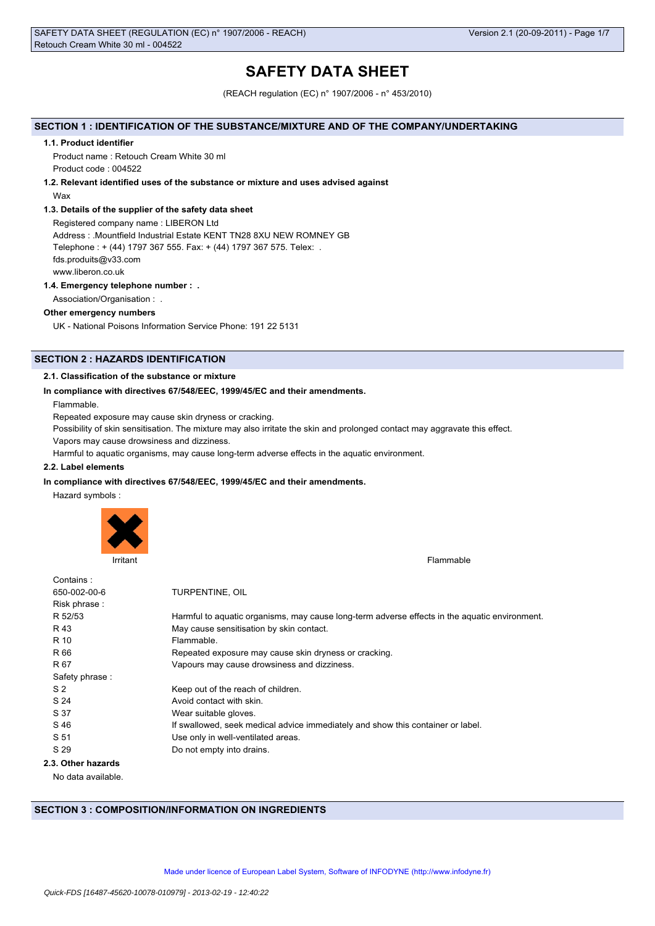# **SAFETY DATA SHEET**

(REACH regulation (EC) n° 1907/2006 - n° 453/2010)

# **SECTION 1 : IDENTIFICATION OF THE SUBSTANCE/MIXTURE AND OF THE COMPANY/UNDERTAKING**

# **1.1. Product identifier**

Product name : Retouch Cream White 30 ml Product code : 004522

# **1.2. Relevant identified uses of the substance or mixture and uses advised against**

# Wax

# **1.3. Details of the supplier of the safety data sheet**

Registered company name : LIBERON Ltd Address : .Mountfield Industrial Estate KENT TN28 8XU NEW ROMNEY GB Telephone : + (44) 1797 367 555. Fax: + (44) 1797 367 575. Telex: . fds.produits@v33.com

www.liberon.co.uk

# **1.4. Emergency telephone number : .**

Association/Organisation : .

# **Other emergency numbers**

UK - National Poisons Information Service Phone: 191 22 5131

# **SECTION 2 : HAZARDS IDENTIFICATION**

# **2.1. Classification of the substance or mixture**

# **In compliance with directives 67/548/EEC, 1999/45/EC and their amendments.**

Flammable.

Repeated exposure may cause skin dryness or cracking.

Possibility of skin sensitisation. The mixture may also irritate the skin and prolonged contact may aggravate this effect.

Vapors may cause drowsiness and dizziness.

Harmful to aquatic organisms, may cause long-term adverse effects in the aquatic environment.

# **2.2. Label elements**

# **In compliance with directives 67/548/EEC, 1999/45/EC and their amendments.**

Hazard symbols :



**Irritant** Flammable

| Contains:          |                                                                                               |
|--------------------|-----------------------------------------------------------------------------------------------|
| 650-002-00-6       | TURPENTINE, OIL                                                                               |
| Risk phrase:       |                                                                                               |
| R 52/53            | Harmful to aquatic organisms, may cause long-term adverse effects in the aquatic environment. |
| R 43               | May cause sensitisation by skin contact.                                                      |
| R 10               | Flammable.                                                                                    |
| R 66               | Repeated exposure may cause skin dryness or cracking.                                         |
| R 67               | Vapours may cause drowsiness and dizziness.                                                   |
| Safety phrase:     |                                                                                               |
| S <sub>2</sub>     | Keep out of the reach of children.                                                            |
| S 24               | Avoid contact with skin.                                                                      |
| S 37               | Wear suitable gloves.                                                                         |
| S 46               | If swallowed, seek medical advice immediately and show this container or label.               |
| S 51               | Use only in well-ventilated areas.                                                            |
| S 29               | Do not empty into drains.                                                                     |
| 2.3. Other hazards |                                                                                               |
| No data available  |                                                                                               |

No data available.

# **SECTION 3 : COMPOSITION/INFORMATION ON INGREDIENTS**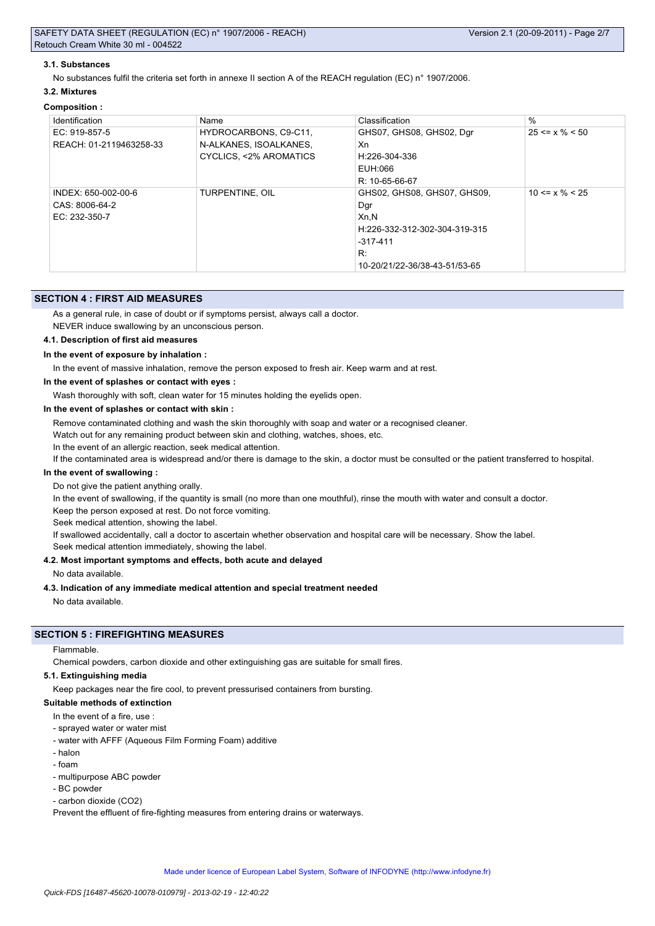#### **3.1. Substances**

No substances fulfil the criteria set forth in annexe II section A of the REACH regulation (EC) n° 1907/2006.

# **3.2. Mixtures**

| <b>Composition:</b>                                    |                                                                           |                                                                                                                                  |                      |
|--------------------------------------------------------|---------------------------------------------------------------------------|----------------------------------------------------------------------------------------------------------------------------------|----------------------|
| Identification                                         | Name                                                                      | Classification                                                                                                                   | $\%$                 |
| EC: 919-857-5<br>REACH: 01-2119463258-33               | HYDROCARBONS, C9-C11,<br>N-ALKANES, ISOALKANES,<br>CYCLICS, <2% AROMATICS | GHS07, GHS08, GHS02, Dgr<br>Xn<br>H:226-304-336<br>EUH:066<br>R: 10-65-66-67                                                     | $25 \le x \% \le 50$ |
| INDEX: 650-002-00-6<br>CAS: 8006-64-2<br>EC: 232-350-7 | TURPENTINE, OIL                                                           | GHS02, GHS08, GHS07, GHS09,<br>Dgr<br>Xn,N<br>H:226-332-312-302-304-319-315<br>$-317-411$<br>R:<br>10-20/21/22-36/38-43-51/53-65 | $10 \le x \% \le 25$ |

# **SECTION 4 : FIRST AID MEASURES**

As a general rule, in case of doubt or if symptoms persist, always call a doctor.

NEVER induce swallowing by an unconscious person.

# **4.1. Description of first aid measures**

# **In the event of exposure by inhalation :**

In the event of massive inhalation, remove the person exposed to fresh air. Keep warm and at rest.

# **In the event of splashes or contact with eyes :**

Wash thoroughly with soft, clean water for 15 minutes holding the eyelids open.

# **In the event of splashes or contact with skin :**

Remove contaminated clothing and wash the skin thoroughly with soap and water or a recognised cleaner.

Watch out for any remaining product between skin and clothing, watches, shoes, etc.

In the event of an allergic reaction, seek medical attention.

If the contaminated area is widespread and/or there is damage to the skin, a doctor must be consulted or the patient transferred to hospital.

# **In the event of swallowing :**

Do not give the patient anything orally.

In the event of swallowing, if the quantity is small (no more than one mouthful), rinse the mouth with water and consult a doctor.

Keep the person exposed at rest. Do not force vomiting.

Seek medical attention, showing the label.

If swallowed accidentally, call a doctor to ascertain whether observation and hospital care will be necessary. Show the label. Seek medical attention immediately, showing the label.

# **4.2. Most important symptoms and effects, both acute and delayed**

No data available.

# **4.3. Indication of any immediate medical attention and special treatment needed**

No data available.

# **SECTION 5 : FIREFIGHTING MEASURES**

#### Flammable.

Chemical powders, carbon dioxide and other extinguishing gas are suitable for small fires.

#### **5.1. Extinguishing media**

Keep packages near the fire cool, to prevent pressurised containers from bursting.

# **Suitable methods of extinction**

In the event of a fire, use :

- sprayed water or water mist
- water with AFFF (Aqueous Film Forming Foam) additive
- halon
- foam
- multipurpose ABC powder
- BC powder
- carbon dioxide (CO2)

Prevent the effluent of fire-fighting measures from entering drains or waterways.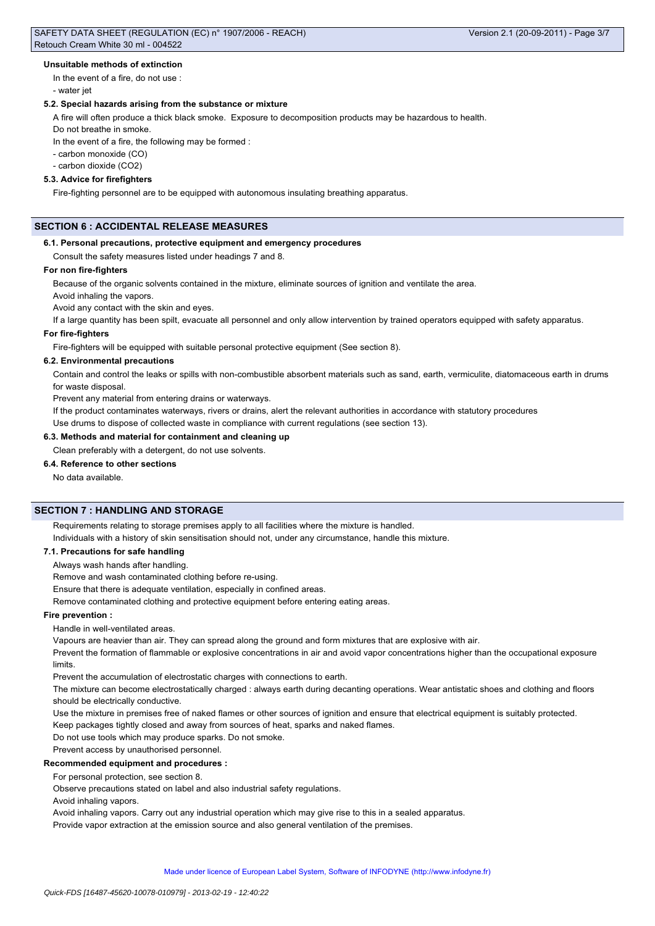#### **Unsuitable methods of extinction**

In the event of a fire, do not use : - water jet

# **5.2. Special hazards arising from the substance or mixture**

A fire will often produce a thick black smoke. Exposure to decomposition products may be hazardous to health. Do not breathe in smoke.

In the event of a fire, the following may be formed :

- carbon monoxide (CO)

- carbon dioxide (CO2)

# **5.3. Advice for firefighters**

Fire-fighting personnel are to be equipped with autonomous insulating breathing apparatus.

# **SECTION 6 : ACCIDENTAL RELEASE MEASURES**

# **6.1. Personal precautions, protective equipment and emergency procedures**

Consult the safety measures listed under headings 7 and 8.

#### **For non fire-fighters**

Because of the organic solvents contained in the mixture, eliminate sources of ignition and ventilate the area.

Avoid inhaling the vapors.

Avoid any contact with the skin and eyes.

If a large quantity has been spilt, evacuate all personnel and only allow intervention by trained operators equipped with safety apparatus.

# **For fire-fighters**

Fire-fighters will be equipped with suitable personal protective equipment (See section 8).

### **6.2. Environmental precautions**

Contain and control the leaks or spills with non-combustible absorbent materials such as sand, earth, vermiculite, diatomaceous earth in drums for waste disposal.

Prevent any material from entering drains or waterways.

If the product contaminates waterways, rivers or drains, alert the relevant authorities in accordance with statutory procedures

Use drums to dispose of collected waste in compliance with current regulations (see section 13).

# **6.3. Methods and material for containment and cleaning up**

### Clean preferably with a detergent, do not use solvents.

### **6.4. Reference to other sections**

No data available.

#### **SECTION 7 : HANDLING AND STORAGE**

Requirements relating to storage premises apply to all facilities where the mixture is handled.

Individuals with a history of skin sensitisation should not, under any circumstance, handle this mixture.

# **7.1. Precautions for safe handling**

Always wash hands after handling.

Remove and wash contaminated clothing before re-using.

Ensure that there is adequate ventilation, especially in confined areas.

Remove contaminated clothing and protective equipment before entering eating areas.

### **Fire prevention :**

Handle in well-ventilated areas.

Vapours are heavier than air. They can spread along the ground and form mixtures that are explosive with air.

Prevent the formation of flammable or explosive concentrations in air and avoid vapor concentrations higher than the occupational exposure limits.

Prevent the accumulation of electrostatic charges with connections to earth.

The mixture can become electrostatically charged : always earth during decanting operations. Wear antistatic shoes and clothing and floors should be electrically conductive.

Use the mixture in premises free of naked flames or other sources of ignition and ensure that electrical equipment is suitably protected.

Keep packages tightly closed and away from sources of heat, sparks and naked flames.

Do not use tools which may produce sparks. Do not smoke.

Prevent access by unauthorised personnel.

# **Recommended equipment and procedures :**

For personal protection, see section 8.

Observe precautions stated on label and also industrial safety regulations.

Avoid inhaling vapors.

Avoid inhaling vapors. Carry out any industrial operation which may give rise to this in a sealed apparatus.

Provide vapor extraction at the emission source and also general ventilation of the premises.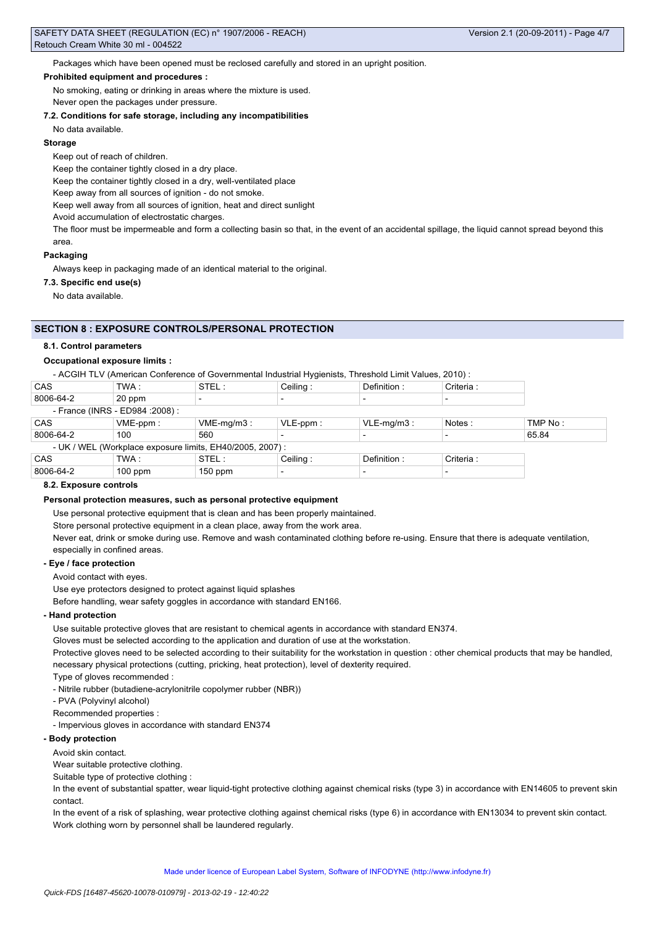Packages which have been opened must be reclosed carefully and stored in an upright position.

#### **Prohibited equipment and procedures :**

No smoking, eating or drinking in areas where the mixture is used.

Never open the packages under pressure.

### **7.2. Conditions for safe storage, including any incompatibilities**

No data available.

#### **Storage**

Keep out of reach of children.

Keep the container tightly closed in a dry place.

Keep the container tightly closed in a dry, well-ventilated place

Keep away from all sources of ignition - do not smoke.

Keep well away from all sources of ignition, heat and direct sunlight

Avoid accumulation of electrostatic charges.

The floor must be impermeable and form a collecting basin so that, in the event of an accidental spillage, the liquid cannot spread beyond this area.

### **Packaging**

Always keep in packaging made of an identical material to the original.

# **7.3. Specific end use(s)**

No data available.

# **SECTION 8 : EXPOSURE CONTROLS/PERSONAL PROTECTION**

#### **8.1. Control parameters**

#### **Occupational exposure limits :**

- ACGIH TLV (American Conference of Governmental Industrial Hygienists, Threshold Limit Values, 2010) :

| <b>CAS</b> | TWA :                            | STEL:                                                     | Ceiling:    | Definition:   | Criteria : |         |
|------------|----------------------------------|-----------------------------------------------------------|-------------|---------------|------------|---------|
| 8006-64-2  | 20 ppm                           |                                                           |             |               |            |         |
|            | - France (INRS - ED984 : 2008) : |                                                           |             |               |            |         |
| <b>CAS</b> | $VME-ppm$ :                      | $VME-mq/m3$ :                                             | $VLE-ppm$ : | $VLE-mq/m3$ : | Notes:     | TMP No: |
| 8006-64-2  | 100                              | 560                                                       |             |               |            | 65.84   |
|            |                                  | - UK / WEL (Workplace exposure limits, EH40/2005, 2007) : |             |               |            |         |
| <b>CAS</b> | TWA :                            | STEL:                                                     | Ceiling:    | Definition:   | Criteria : |         |
| 8006-64-2  | $100$ ppm                        | $150$ ppm                                                 |             |               |            |         |

#### **8.2. Exposure controls**

#### **Personal protection measures, such as personal protective equipment**

Use personal protective equipment that is clean and has been properly maintained.

Store personal protective equipment in a clean place, away from the work area.

Never eat, drink or smoke during use. Remove and wash contaminated clothing before re-using. Ensure that there is adequate ventilation, especially in confined areas.

#### **- Eye / face protection**

Avoid contact with eyes.

Use eye protectors designed to protect against liquid splashes

Before handling, wear safety goggles in accordance with standard EN166.

### **- Hand protection**

Use suitable protective gloves that are resistant to chemical agents in accordance with standard EN374.

Gloves must be selected according to the application and duration of use at the workstation.

Protective gloves need to be selected according to their suitability for the workstation in question : other chemical products that may be handled, necessary physical protections (cutting, pricking, heat protection), level of dexterity required.

Type of gloves recommended :

- Nitrile rubber (butadiene-acrylonitrile copolymer rubber (NBR))

- PVA (Polyvinyl alcohol)

Recommended properties :

- Impervious gloves in accordance with standard EN374

#### **- Body protection**

Avoid skin contact.

Wear suitable protective clothing.

Suitable type of protective clothing :

In the event of substantial spatter, wear liquid-tight protective clothing against chemical risks (type 3) in accordance with EN14605 to prevent skin contact.

In the event of a risk of splashing, wear protective clothing against chemical risks (type 6) in accordance with EN13034 to prevent skin contact. Work clothing worn by personnel shall be laundered regularly.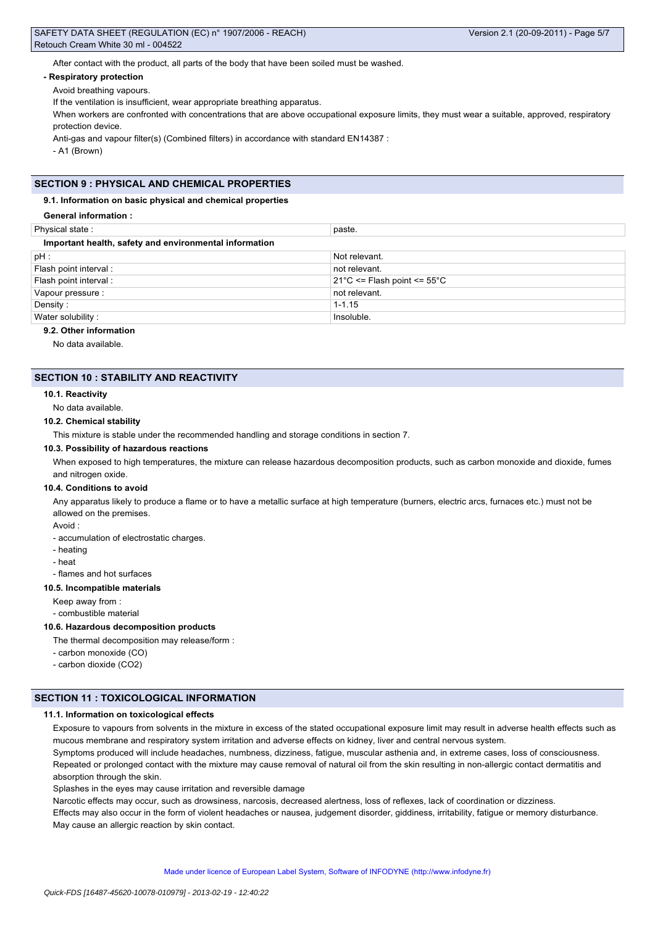After contact with the product, all parts of the body that have been soiled must be washed.

#### **- Respiratory protection**

Avoid breathing vapours.

If the ventilation is insufficient, wear appropriate breathing apparatus.

When workers are confronted with concentrations that are above occupational exposure limits, they must wear a suitable, approved, respiratory protection device.

Anti-gas and vapour filter(s) (Combined filters) in accordance with standard EN14387 :

- A1 (Brown)

# **SECTION 9 : PHYSICAL AND CHEMICAL PROPERTIES**

### **9.1. Information on basic physical and chemical properties**

#### **General information :**

| Physical state:                                        | paste.                                           |  |  |  |
|--------------------------------------------------------|--------------------------------------------------|--|--|--|
| Important health, safety and environmental information |                                                  |  |  |  |
| pH:                                                    | Not relevant.                                    |  |  |  |
| Flash point interval:                                  | not relevant.                                    |  |  |  |
| Flash point interval:                                  | $21^{\circ}$ C <= Flash point <= 55 $^{\circ}$ C |  |  |  |
| Vapour pressure :                                      | not relevant.                                    |  |  |  |
| Density:                                               | $1 - 1.15$                                       |  |  |  |
| Water solubility:                                      | Insoluble.                                       |  |  |  |
|                                                        |                                                  |  |  |  |

# **9.2. Other information**

No data available.

### **SECTION 10 : STABILITY AND REACTIVITY**

#### **10.1. Reactivity**

No data available.

# **10.2. Chemical stability**

This mixture is stable under the recommended handling and storage conditions in section 7.

#### **10.3. Possibility of hazardous reactions**

When exposed to high temperatures, the mixture can release hazardous decomposition products, such as carbon monoxide and dioxide, fumes and nitrogen oxide.

#### **10.4. Conditions to avoid**

Any apparatus likely to produce a flame or to have a metallic surface at high temperature (burners, electric arcs, furnaces etc.) must not be allowed on the premises.

Avoid :

- accumulation of electrostatic charges.

- heating
- heat
- flames and hot surfaces

#### **10.5. Incompatible materials**

Keep away from :

- combustible material

#### **10.6. Hazardous decomposition products**

The thermal decomposition may release/form :

- carbon monoxide (CO)

- carbon dioxide (CO2)

# **SECTION 11 : TOXICOLOGICAL INFORMATION**

#### **11.1. Information on toxicological effects**

Exposure to vapours from solvents in the mixture in excess of the stated occupational exposure limit may result in adverse health effects such as mucous membrane and respiratory system irritation and adverse effects on kidney, liver and central nervous system. Symptoms produced will include headaches, numbness, dizziness, fatigue, muscular asthenia and, in extreme cases, loss of consciousness. Repeated or prolonged contact with the mixture may cause removal of natural oil from the skin resulting in non-allergic contact dermatitis and absorption through the skin.

Splashes in the eyes may cause irritation and reversible damage

Narcotic effects may occur, such as drowsiness, narcosis, decreased alertness, loss of reflexes, lack of coordination or dizziness. Effects may also occur in the form of violent headaches or nausea, judgement disorder, giddiness, irritability, fatigue or memory disturbance.

May cause an allergic reaction by skin contact.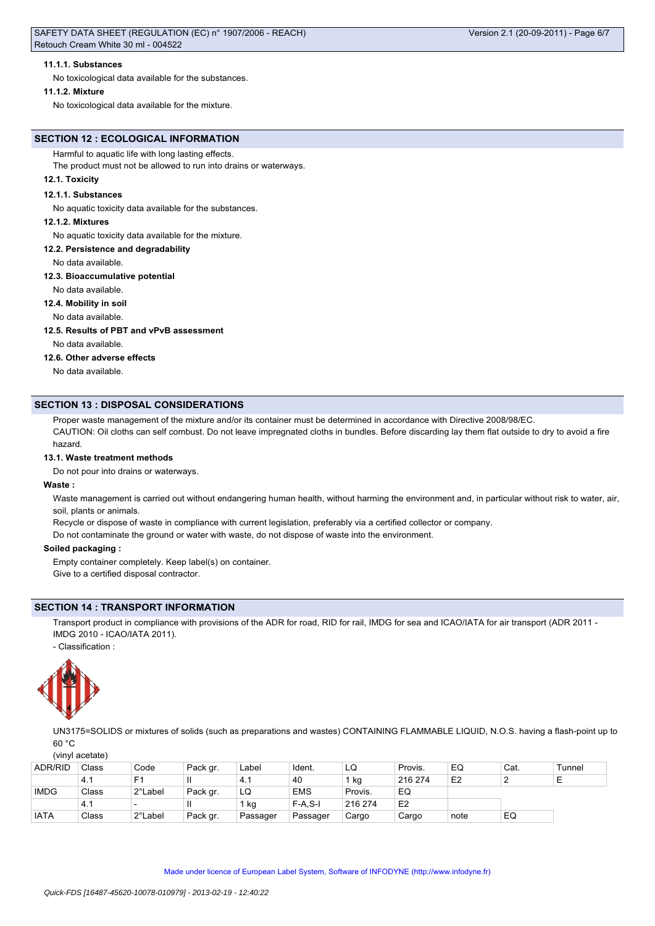### **11.1.1. Substances**

No toxicological data available for the substances.

#### **11.1.2. Mixture**

No toxicological data available for the mixture.

# **SECTION 12 : ECOLOGICAL INFORMATION**

Harmful to aquatic life with long lasting effects.

The product must not be allowed to run into drains or waterways.

# **12.1. Toxicity**

#### **12.1.1. Substances**

No aquatic toxicity data available for the substances.

#### **12.1.2. Mixtures**

No aquatic toxicity data available for the mixture.

#### **12.2. Persistence and degradability**

No data available.

### **12.3. Bioaccumulative potential**

No data available.

# **12.4. Mobility in soil**

No data available.

#### **12.5. Results of PBT and vPvB assessment**

No data available.

### **12.6. Other adverse effects**

No data available.

# **SECTION 13 : DISPOSAL CONSIDERATIONS**

Proper waste management of the mixture and/or its container must be determined in accordance with Directive 2008/98/EC.

CAUTION: Oil cloths can self combust. Do not leave impregnated cloths in bundles. Before discarding lay them flat outside to dry to avoid a fire hazard.

#### **13.1. Waste treatment methods**

Do not pour into drains or waterways.

### **Waste :**

Waste management is carried out without endangering human health, without harming the environment and, in particular without risk to water, air, soil, plants or animals.

Recycle or dispose of waste in compliance with current legislation, preferably via a certified collector or company.

Do not contaminate the ground or water with waste, do not dispose of waste into the environment.

#### **Soiled packaging :**

Empty container completely. Keep label(s) on container.

Give to a certified disposal contractor.

# **SECTION 14 : TRANSPORT INFORMATION**

Transport product in compliance with provisions of the ADR for road, RID for rail, IMDG for sea and ICAO/IATA for air transport (ADR 2011 -IMDG 2010 - ICAO/IATA 2011).

- Classification :



UN3175=SOLIDS or mixtures of solids (such as preparations and wastes) CONTAINING FLAMMABLE LIQUID, N.O.S. having a flash-point up to  $60 °C$ 

(vinyl acetate)

| <b>ADR/RID</b> | Class | Code    | Pack gr. | Label    | Ident.     | LQ      | Provis.        | EQ             | Cat. | Tunnel |
|----------------|-------|---------|----------|----------|------------|---------|----------------|----------------|------|--------|
|                | 4.1   | E1      | Ш        | 4.1      | 40         | kg      | 216 274        | E <sub>2</sub> |      | −      |
| <b>IMDG</b>    | Class | 2°Label | Pack gr. | LQ       | <b>EMS</b> | Provis. | EQ             |                |      |        |
|                | 14.1  |         | Ш        | 1 kg     | $F-A.S-I$  | 216 274 | E <sub>2</sub> |                |      |        |
| <b>IATA</b>    | Class | 2°Label | Pack gr. | Passager | Passager   | Cargo   | Cargo          | note           | EQ   |        |